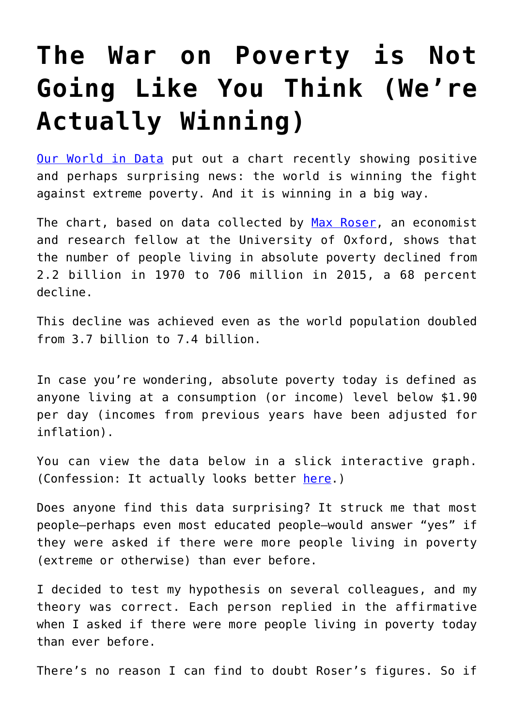## **[The War on Poverty is Not](https://intellectualtakeout.org/2016/05/the-war-on-poverty-is-not-going-like-you-think-were-actually-winning/) [Going Like You Think \(We're](https://intellectualtakeout.org/2016/05/the-war-on-poverty-is-not-going-like-you-think-were-actually-winning/) [Actually Winning\)](https://intellectualtakeout.org/2016/05/the-war-on-poverty-is-not-going-like-you-think-were-actually-winning/)**

[Our World in Data](https://ourworldindata.org/grapher/world-population-in-extreme-poverty-absolute?tab=chart) put out a chart recently showing positive and perhaps surprising news: the world is winning the fight against extreme poverty. And it is winning in a big way.

The chart, based on data collected by [Max Roser,](http://www.maxroser.com/about/) an economist and research fellow at the University of Oxford, shows that the number of people living in absolute poverty declined from 2.2 billion in 1970 to 706 million in 2015, a 68 percent decline.

This decline was achieved even as the world population doubled from 3.7 billion to 7.4 billion.

In case you're wondering, absolute poverty today is defined as anyone living at a consumption (or income) level below \$1.90 per day (incomes from previous years have been adjusted for inflation).

You can view the data below in a slick interactive graph. (Confession: It actually looks better [here.](https://ourworldindata.org/grapher/world-population-in-extreme-poverty-absolute?tab=chart))

Does anyone find this data surprising? It struck me that most people—perhaps even most educated people—would answer "yes" if they were asked if there were more people living in poverty (extreme or otherwise) than ever before.

I decided to test my hypothesis on several colleagues, and my theory was correct. Each person replied in the affirmative when I asked if there were more people living in poverty today than ever before.

There's no reason I can find to doubt Roser's figures. So if